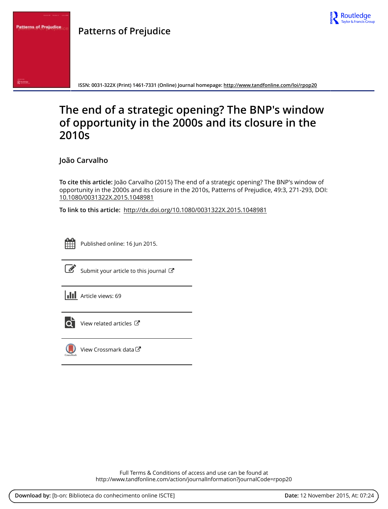

## **Patterns of Prejudice**



**ISSN: 0031-322X (Print) 1461-7331 (Online) Journal homepage: <http://www.tandfonline.com/loi/rpop20>**

# **The end of a strategic opening? The BNP's window of opportunity in the 2000s and its closure in the 2010s**

**João Carvalho**

**To cite this article:** João Carvalho (2015) The end of a strategic opening? The BNP's window of opportunity in the 2000s and its closure in the 2010s, Patterns of Prejudice, 49:3, 271-293, DOI: [10.1080/0031322X.2015.1048981](http://www.tandfonline.com/action/showCitFormats?doi=10.1080/0031322X.2015.1048981)

**To link to this article:** <http://dx.doi.org/10.1080/0031322X.2015.1048981>



Published online: 16 Jun 2015.



 $\overline{\mathscr{L}}$  [Submit your article to this journal](http://www.tandfonline.com/action/authorSubmission?journalCode=rpop20&page=instructions)  $\mathbb{F}$ 





 $\overrightarrow{Q}$  [View related articles](http://www.tandfonline.com/doi/mlt/10.1080/0031322X.2015.1048981)  $\overrightarrow{C}$ 



[View Crossmark data](http://crossmark.crossref.org/dialog/?doi=10.1080/0031322X.2015.1048981&domain=pdf&date_stamp=2015-06-16)  $\sigma$ 

Full Terms & Conditions of access and use can be found at <http://www.tandfonline.com/action/journalInformation?journalCode=rpop20>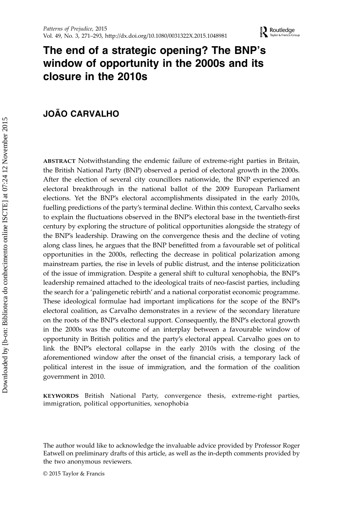## The end of a strategic opening? The BNP's window of opportunity in the 2000s and its closure in the 2010s

### JOÃO CARVALHO

ABSTRACT Notwithstanding the endemic failure of extreme-right parties in Britain, the British National Party (BNP) observed a period of electoral growth in the 2000s. After the election of several city councillors nationwide, the BNP experienced an electoral breakthrough in the national ballot of the 2009 European Parliament elections. Yet the BNP's electoral accomplishments dissipated in the early 2010s, fuelling predictions of the party's terminal decline. Within this context, Carvalho seeks to explain the fluctuations observed in the BNP's electoral base in the twentieth-first century by exploring the structure of political opportunities alongside the strategy of the BNP's leadership. Drawing on the convergence thesis and the decline of voting along class lines, he argues that the BNP benefitted from a favourable set of political opportunities in the 2000s, reflecting the decrease in political polarization among mainstream parties, the rise in levels of public distrust, and the intense politicization of the issue of immigration. Despite a general shift to cultural xenophobia, the BNP's leadership remained attached to the ideological traits of neo-fascist parties, including the search for a 'palingenetic rebirth' and a national corporatist economic programme. These ideological formulae had important implications for the scope of the BNP's electoral coalition, as Carvalho demonstrates in a review of the secondary literature on the roots of the BNP's electoral support. Consequently, the BNP's electoral growth in the 2000s was the outcome of an interplay between a favourable window of opportunity in British politics and the party's electoral appeal. Carvalho goes on to link the BNP's electoral collapse in the early 2010s with the closing of the aforementioned window after the onset of the financial crisis, a temporary lack of political interest in the issue of immigration, and the formation of the coalition government in 2010.

KEYWORDS British National Party, convergence thesis, extreme-right parties, immigration, political opportunities, xenophobia

The author would like to acknowledge the invaluable advice provided by Professor Roger Eatwell on preliminary drafts of this article, as well as the in-depth comments provided by the two anonymous reviewers.

© 2015 Taylor & Francis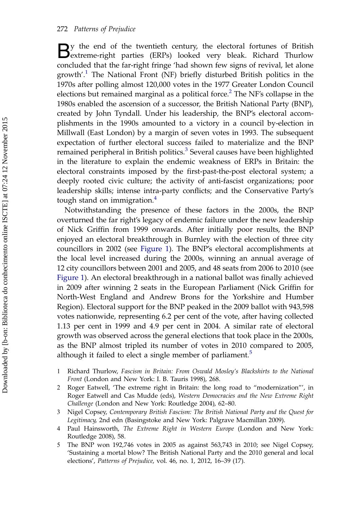#### 272 Patterns of Prejudice

By the end of the twentieth century, the electoral fortunes of British extreme-right parties (ERPs) looked very bleak. Richard Thurlow concluded that the far-right fringe 'had shown few signs of revival, let alone growth'.<sup>1</sup> The National Front (NF) briefly disturbed British politics in the 1970s after polling almost 120,000 votes in the 1977 Greater London Council elections but remained marginal as a political force.<sup>2</sup> The NF's collapse in the 1980s enabled the ascension of a successor, the British National Party (BNP), created by John Tyndall. Under his leadership, the BNP's electoral accomplishments in the 1990s amounted to a victory in a council by-election in Millwall (East London) by a margin of seven votes in 1993. The subsequent expectation of further electoral success failed to materialize and the BNP remained peripheral in British politics.<sup>3</sup> Several causes have been highlighted in the literature to explain the endemic weakness of ERPs in Britain: the electoral constraints imposed by the first-past-the-post electoral system; a deeply rooted civic culture; the activity of anti-fascist organizations; poor leadership skills; intense intra-party conflicts; and the Conservative Party's tough stand on immigration.<sup>4</sup>

Notwithstanding the presence of these factors in the 2000s, the BNP overturned the far right's legacy of endemic failure under the new leadership of Nick Griffin from 1999 onwards. After initially poor results, the BNP enjoyed an electoral breakthrough in Burnley with the election of three city councillors in 2002 (see [Figure 1\)](#page-3-0). The BNP's electoral accomplishments at the local level increased during the 2000s, winning an annual average of 12 city councillors between 2001 and 2005, and 48 seats from 2006 to 2010 (see [Figure 1\)](#page-3-0). An electoral breakthrough in a national ballot was finally achieved in 2009 after winning 2 seats in the European Parliament (Nick Griffin for North-West England and Andrew Brons for the Yorkshire and Humber Region). Electoral support for the BNP peaked in the 2009 ballot with 943,598 votes nationwide, representing 6.2 per cent of the vote, after having collected 1.13 per cent in 1999 and 4.9 per cent in 2004. A similar rate of electoral growth was observed across the general elections that took place in the 2000s, as the BNP almost tripled its number of votes in 2010 compared to 2005, although it failed to elect a single member of parliament.<sup>5</sup>

- Richard Thurlow, Fascism in Britain: From Oswald Mosley's Blackshirts to the National Front (London and New York: I. B. Tauris 1998), 268.
- 2 Roger Eatwell, 'The extreme right in Britain: the long road to "modernization"', in Roger Eatwell and Cas Mudde (eds), Western Democracies and the New Extreme Right Challenge (London and New York: Routledge 2004), 62–80.
- 3 Nigel Copsey, Contemporary British Fascism: The British National Party and the Quest for Legitimacy, 2nd edn (Basingstoke and New York: Palgrave Macmillan 2009).
- Paul Hainsworth, The Extreme Right in Western Europe (London and New York: Routledge 2008), 58.
- 5 The BNP won 192,746 votes in 2005 as against 563,743 in 2010; see Nigel Copsey, 'Sustaining a mortal blow? The British National Party and the 2010 general and local elections', Patterns of Prejudice, vol. 46, no. 1, 2012, 16–39 (17).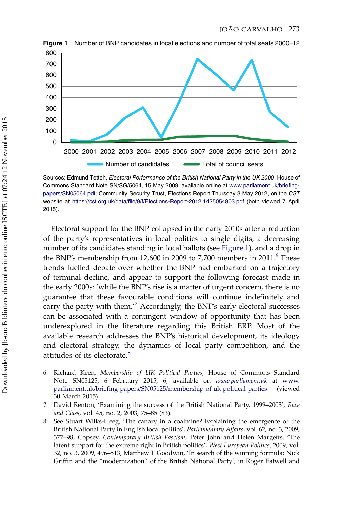

<span id="page-3-0"></span>Figure 1 Number of BNP candidates in local elections and number of total seats 2000–12

Sources: Edmund Tetteh, Electoral Performance of the British National Party in the UK 2009, House of Commons Standard Note SN/SG/5064, 15 May 2009, available online at [www.parliament.uk/brie](www.parliament.uk/briefing-papers/SN05064.pdf)fing[papers/SN05064.pdf;](www.parliament.uk/briefing-papers/SN05064.pdf) Community Security Trust, Elections Report Thursday 3 May 2012, on the CST website at https://cst.org.uk/data/fi[le/9/f/Elections-Report-2012.1425054803.pdf](https://cst.org.uk/data/file/9/f/Elections-Report-2012.1425054803.pdf) (both viewed 7 April 2015).

Electoral support for the BNP collapsed in the early 2010s after a reduction of the party's representatives in local politics to single digits, a decreasing number of its candidates standing in local ballots (see Figure 1), and a drop in the BNP's membership from 12,600 in 2009 to 7,700 members in 2011. $^6$  These trends fuelled debate over whether the BNP had embarked on a trajectory of terminal decline, and appear to support the following forecast made in the early 2000s: 'while the BNP's rise is a matter of urgent concern, there is no guarantee that these favourable conditions will continue indefinitely and carry the party with them. $\cdot$ <sup>7</sup> Accordingly, the BNP's early electoral successes can be associated with a contingent window of opportunity that has been underexplored in the literature regarding this British ERP. Most of the available research addresses the BNP's historical development, its ideology and electoral strategy, the dynamics of local party competition, and the attitudes of its electorate.<sup>8</sup>

- 6 Richard Keen, Membership of UK Political Parties, House of Commons Standard Note SN05125, 6 February 2015, 6, available on <www.parliament.uk> at [www.](www.parliament.uk/briefing-papers/SN05125/membership-of-uk-political-parties) [parliament.uk/briefing-papers/SN05125/membership-of-uk-political-parties](www.parliament.uk/briefing-papers/SN05125/membership-of-uk-political-parties) (viewed 30 March 2015).
- 7 David Renton, 'Examining the success of the British National Party, 1999–2003', Race and Class, vol. 45, no. 2, 2003, 75–85 (83).
- 8 See Stuart Wilks-Heeg, 'The canary in a coalmine? Explaining the emergence of the British National Party in English local politics', Parliamentary Affairs, vol. 62, no. 3, 2009, 377–98; Copsey, Contemporary British Fascism; Peter John and Helen Margetts, 'The latent support for the extreme right in British politics', West European Politics, 2009, vol. 32, no. 3, 2009, 496–513; Matthew J. Goodwin, 'In search of the winning formula: Nick Griffin and the "modernization" of the British National Party', in Roger Eatwell and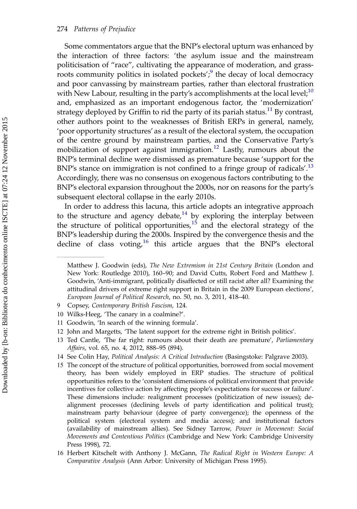Some commentators argue that the BNP's electoral upturn was enhanced by the interaction of three factors: 'the asylum issue and the mainstream politicisation of "race", cultivating the appearance of moderation, and grassroots community politics in isolated pockets';<sup>9</sup> the decay of local democracy and poor canvassing by mainstream parties, rather than electoral frustration with New Labour, resulting in the party's accomplishments at the local level;<sup>10</sup> and, emphasized as an important endogenous factor, the 'modernization' strategy deployed by Griffin to rid the party of its pariah status.<sup>11</sup> By contrast, other authors point to the weaknesses of British ERPs in general, namely, 'poor opportunity structures' as a result of the electoral system, the occupation of the centre ground by mainstream parties, and the Conservative Party's mobilization of support against immigration.12 Lastly, rumours about the BNP's terminal decline were dismissed as premature because 'support for the BNP's stance on immigration is not confined to a fringe group of radicals'.<sup>13</sup> Accordingly, there was no consensus on exogenous factors contributing to the BNP's electoral expansion throughout the 2000s, nor on reasons for the party's subsequent electoral collapse in the early 2010s.

In order to address this lacuna, this article adopts an integrative approach to the structure and agency debate, $14$  by exploring the interplay between the structure of political opportunities,  $15$  and the electoral strategy of the BNP's leadership during the 2000s. Inspired by the convergence thesis and the decline of class voting,<sup>16</sup> this article argues that the BNP's electoral

Matthew J. Goodwin (eds), The New Extremism in 21st Century Britain (London and New York: Routledge 2010), 160–90; and David Cutts, Robert Ford and Matthew J. Goodwin, 'Anti-immigrant, politically disaffected or still racist after all? Examining the attitudinal drivers of extreme right support in Britain in the 2009 European elections', European Journal of Political Research, no. 50, no. 3, 2011, 418–40.

<sup>9</sup> Copsey, Contemporary British Fascism, 124.

<sup>10</sup> Wilks-Heeg, 'The canary in a coalmine?'.

<sup>11</sup> Goodwin, 'In search of the winning formula'.

<sup>12</sup> John and Margetts, 'The latent support for the extreme right in British politics'.

<sup>13</sup> Ted Cantle, 'The far right: rumours about their death are premature', Parliamentary Affairs, vol. 65, no. 4, 2012, 888–95 (894).

<sup>14</sup> See Colin Hay, Political Analysis: A Critical Introduction (Basingstoke: Palgrave 2003).

<sup>15</sup> The concept of the structure of political opportunities, borrowed from social movement theory, has been widely employed in ERP studies. The structure of political opportunities refers to the 'consistent dimensions of political environment that provide incentives for collective action by affecting people's expectations for success or failure'. These dimensions include: realignment processes (politicization of new issues); dealignment processes (declining levels of party identification and political trust); mainstream party behaviour (degree of party convergence); the openness of the political system (electoral system and media access); and institutional factors (availability of mainstream allies). See Sidney Tarrow, Power in Movement: Social Movements and Contentious Politics (Cambridge and New York: Cambridge University Press 1998), 72.

<sup>16</sup> Herbert Kitschelt with Anthony J. McGann, The Radical Right in Western Europe: A Comparative Analysis (Ann Arbor: University of Michigan Press 1995).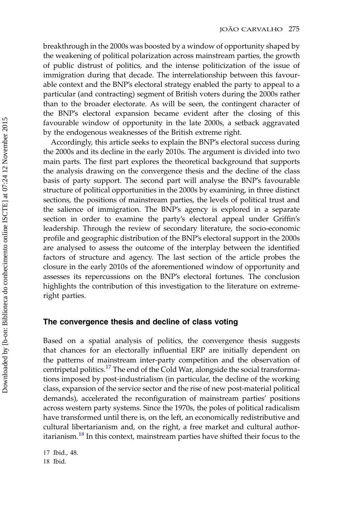breakthrough in the 2000s was boosted by a window of opportunity shaped by the weakening of political polarization across mainstream parties, the growth of public distrust of politics, and the intense politicization of the issue of immigration during that decade. The interrelationship between this favourable context and the BNP's electoral strategy enabled the party to appeal to a particular (and contracting) segment of British voters during the 2000s rather than to the broader electorate. As will be seen, the contingent character of the BNP's electoral expansion became evident after the closing of this favourable window of opportunity in the late 2000s, a setback aggravated by the endogenous weaknesses of the British extreme right.

Accordingly, this article seeks to explain the BNP's electoral success during the 2000s and its decline in the early 2010s. The argument is divided into two main parts. The first part explores the theoretical background that supports the analysis drawing on the convergence thesis and the decline of the class basis of party support. The second part will analyse the BNP's favourable structure of political opportunities in the 2000s by examining, in three distinct sections, the positions of mainstream parties, the levels of political trust and the salience of immigration. The BNP's agency is explored in a separate section in order to examine the party's electoral appeal under Griffin's leadership. Through the review of secondary literature, the socio-economic profile and geographic distribution of the BNP's electoral support in the 2000s are analysed to assess the outcome of the interplay between the identified factors of structure and agency. The last section of the article probes the closure in the early 2010s of the aforementioned window of opportunity and assesses its repercussions on the BNP's electoral fortunes. The conclusion highlights the contribution of this investigation to the literature on extremeright parties.

#### The convergence thesis and decline of class voting

Based on a spatial analysis of politics, the convergence thesis suggests that chances for an electorally influential ERP are initially dependent on the patterns of mainstream inter-party competition and the observation of centripetal politics.<sup>17</sup> The end of the Cold War, alongside the social transformations imposed by post-industrialism (in particular, the decline of the working class, expansion of the service sector and the rise of new post-material political demands), accelerated the reconfiguration of mainstream parties' positions across western party systems. Since the 1970s, the poles of political radicalism have transformed until there is, on the left, an economically redistributive and cultural libertarianism and, on the right, a free market and cultural authoritarianism.<sup>18</sup> In this context, mainstream parties have shifted their focus to the

17 Ibid., 48. 18 Ibid.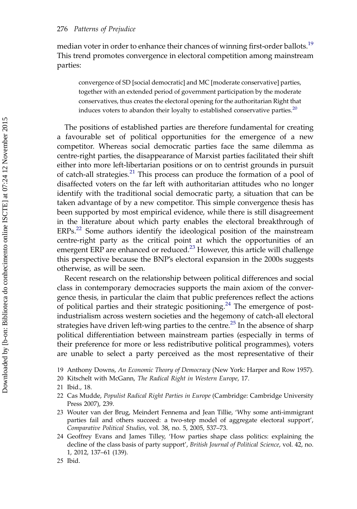median voter in order to enhance their chances of winning first-order ballots.<sup>19</sup> This trend promotes convergence in electoral competition among mainstream parties:

convergence of SD [social democratic] and MC [moderate conservative] parties, together with an extended period of government participation by the moderate conservatives, thus creates the electoral opening for the authoritarian Right that induces voters to abandon their loyalty to established conservative parties. $^{20}$ 

The positions of established parties are therefore fundamental for creating a favourable set of political opportunities for the emergence of a new competitor. Whereas social democratic parties face the same dilemma as centre-right parties, the disappearance of Marxist parties facilitated their shift either into more left-libertarian positions or on to centrist grounds in pursuit of catch-all strategies.<sup>21</sup> This process can produce the formation of a pool of disaffected voters on the far left with authoritarian attitudes who no longer identify with the traditional social democratic party, a situation that can be taken advantage of by a new competitor. This simple convergence thesis has been supported by most empirical evidence, while there is still disagreement in the literature about which party enables the electoral breakthrough of ERPs.<sup>22</sup> Some authors identify the ideological position of the mainstream centre-right party as the critical point at which the opportunities of an emergent ERP are enhanced or reduced.<sup>23</sup> However, this article will challenge this perspective because the BNP's electoral expansion in the 2000s suggests otherwise, as will be seen.

Recent research on the relationship between political differences and social class in contemporary democracies supports the main axiom of the convergence thesis, in particular the claim that public preferences reflect the actions of political parties and their strategic positioning.<sup>24</sup> The emergence of postindustrialism across western societies and the hegemony of catch-all electoral strategies have driven left-wing parties to the centre.<sup>25</sup> In the absence of sharp political differentiation between mainstream parties (especially in terms of their preference for more or less redistributive political programmes), voters are unable to select a party perceived as the most representative of their

- 19 Anthony Downs, An Economic Theory of Democracy (New York: Harper and Row 1957).
- 20 Kitschelt with McGann, The Radical Right in Western Europe, 17.
- 21 Ibid., 18.
- 22 Cas Mudde, Populist Radical Right Parties in Europe (Cambridge: Cambridge University Press 2007), 239.
- 23 Wouter van der Brug, Meindert Fennema and Jean Tillie, 'Why some anti-immigrant parties fail and others succeed: a two-step model of aggregate electoral support', Comparative Political Studies, vol. 38, no. 5, 2005, 537–73.
- 24 Geoffrey Evans and James Tilley, 'How parties shape class politics: explaining the decline of the class basis of party support', British Journal of Political Science, vol. 42, no. 1, 2012, 137–61 (139).
- 25 Ibid.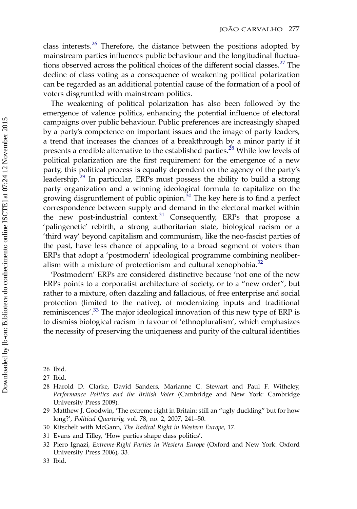class interests.<sup>26</sup> Therefore, the distance between the positions adopted by mainstream parties influences public behaviour and the longitudinal fluctuations observed across the political choices of the different social classes.<sup>27</sup> The decline of class voting as a consequence of weakening political polarization can be regarded as an additional potential cause of the formation of a pool of voters disgruntled with mainstream politics.

The weakening of political polarization has also been followed by the emergence of valence politics, enhancing the potential influence of electoral campaigns over public behaviour. Public preferences are increasingly shaped by a party's competence on important issues and the image of party leaders, a trend that increases the chances of a breakthrough by a minor party if it presents a credible alternative to the established parties.<sup>28</sup> While low levels of political polarization are the first requirement for the emergence of a new party, this political process is equally dependent on the agency of the party's leadership.<sup>29</sup> In particular, ERPs must possess the ability to build a strong party organization and a winning ideological formula to capitalize on the growing disgruntlement of public opinion.<sup>30</sup> The key here is to find a perfect correspondence between supply and demand in the electoral market within the new post-industrial context.<sup>31</sup> Consequently, ERPs that propose a 'palingenetic' rebirth, a strong authoritarian state, biological racism or a 'third way' beyond capitalism and communism, like the neo-fascist parties of the past, have less chance of appealing to a broad segment of voters than ERPs that adopt a 'postmodern' ideological programme combining neoliberalism with a mixture of protectionism and cultural xenophobia. $32$ 

'Postmodern' ERPs are considered distinctive because 'not one of the new ERPs points to a corporatist architecture of society, or to a "new order", but rather to a mixture, often dazzling and fallacious, of free enterprise and social protection (limited to the native), of modernizing inputs and traditional reminiscences'.<sup>33</sup> The major ideological innovation of this new type of ERP is to dismiss biological racism in favour of 'ethnopluralism', which emphasizes the necessity of preserving the uniqueness and purity of the cultural identities

26 Ibid.

- 28 Harold D. Clarke, David Sanders, Marianne C. Stewart and Paul F. Witheley, Performance Politics and the British Voter (Cambridge and New York: Cambridge University Press 2009).
- 29 Matthew J. Goodwin, 'The extreme right in Britain: still an "ugly duckling" but for how long?', Political Quarterly, vol. 78, no. 2, 2007, 241–50.
- 30 Kitschelt with McGann, The Radical Right in Western Europe, 17.
- 31 Evans and Tilley, 'How parties shape class politics'.
- 32 Piero Ignazi, Extreme-Right Parties in Western Europe (Oxford and New York: Oxford University Press 2006), 33.

<sup>27</sup> Ibid.

<sup>33</sup> Ibid.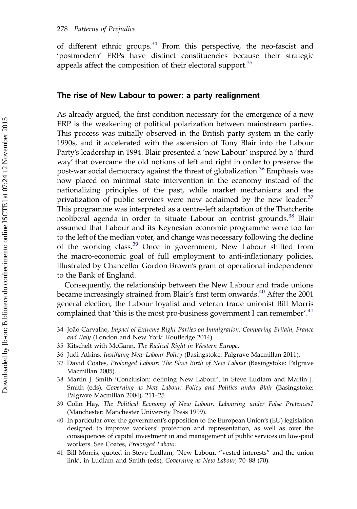of different ethnic groups.<sup>34</sup> From this perspective, the neo-fascist and 'postmodern' ERPs have distinct constituencies because their strategic appeals affect the composition of their electoral support.<sup>35</sup>

#### The rise of New Labour to power: a party realignment

As already argued, the first condition necessary for the emergence of a new ERP is the weakening of political polarization between mainstream parties. This process was initially observed in the British party system in the early 1990s, and it accelerated with the ascension of Tony Blair into the Labour Party's leadership in 1994. Blair presented a 'new Labour' inspired by a 'third way' that overcame the old notions of left and right in order to preserve the post-war social democracy against the threat of globalization.<sup>36</sup> Emphasis was now placed on minimal state intervention in the economy instead of the nationalizing principles of the past, while market mechanisms and the privatization of public services were now acclaimed by the new leader. $37$ This programme was interpreted as a centre-left adaptation of the Thatcherite neoliberal agenda in order to situate Labour on centrist grounds.<sup>38</sup> Blair assumed that Labour and its Keynesian economic programme were too far to the left of the median voter, and change was necessary following the decline of the working class.<sup>39</sup> Once in government, New Labour shifted from the macro-economic goal of full employment to anti-inflationary policies, illustrated by Chancellor Gordon Brown's grant of operational independence to the Bank of England.

Consequently, the relationship between the New Labour and trade unions became increasingly strained from Blair's first term onwards.<sup>40</sup> After the 2001 general election, the Labour loyalist and veteran trade unionist Bill Morris complained that 'this is the most pro-business government I can remember'.<sup>41</sup>

- 34 João Carvalho, Impact of Extreme Right Parties on Immigration: Comparing Britain, France and Italy (London and New York: Routledge 2014).
- 35 Kitschelt with McGann, The Radical Right in Western Europe.
- 36 Judi Atkins, Justifying New Labour Policy (Basingstoke: Palgrave Macmillan 2011).
- 37 David Coates, Prolonged Labour: The Slow Birth of New Labour (Basingstoke: Palgrave Macmillan 2005).
- 38 Martin J. Smith 'Conclusion: defining New Labour', in Steve Ludlam and Martin J. Smith (eds), Governing as New Labour: Policy and Politics under Blair (Basingstoke: Palgrave Macmillan 2004), 211–25.
- 39 Colin Hay, The Political Economy of New Labour: Labouring under False Pretences? (Manchester: Manchester University Press 1999).
- 40 In particular over the government's opposition to the European Union's (EU) legislation designed to improve workers' protection and representation, as well as over the consequences of capital investment in and management of public services on low-paid workers. See Coates, Prolonged Labour.
- 41 Bill Morris, quoted in Steve Ludlam, 'New Labour, "vested interests" and the union link', in Ludlam and Smith (eds), Governing as New Labour, 70–88 (70).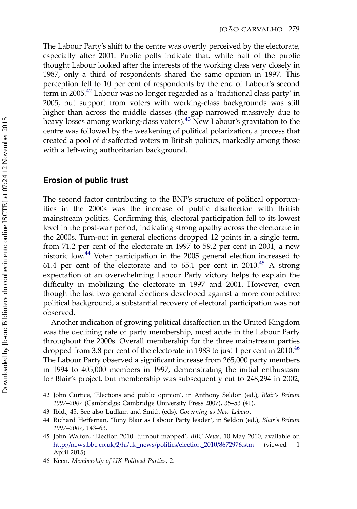The Labour Party's shift to the centre was overtly perceived by the electorate, especially after 2001. Public polls indicate that, while half of the public thought Labour looked after the interests of the working class very closely in 1987, only a third of respondents shared the same opinion in 1997. This perception fell to 10 per cent of respondents by the end of Labour's second term in 2005.<sup>42</sup> Labour was no longer regarded as a 'traditional class party' in 2005, but support from voters with working-class backgrounds was still higher than across the middle classes (the gap narrowed massively due to heavy losses among working-class voters).<sup>43</sup> New Labour's gravitation to the centre was followed by the weakening of political polarization, a process that created a pool of disaffected voters in British politics, markedly among those with a left-wing authoritarian background.

#### Erosion of public trust

The second factor contributing to the BNP's structure of political opportunities in the 2000s was the increase of public disaffection with British mainstream politics. Confirming this, electoral participation fell to its lowest level in the post-war period, indicating strong apathy across the electorate in the 2000s. Turn-out in general elections dropped 12 points in a single term, from 71.2 per cent of the electorate in 1997 to 59.2 per cent in 2001, a new historic low.<sup>44</sup> Voter participation in the 2005 general election increased to 61.4 per cent of the electorate and to 65.1 per cent in  $2010^{45}$  A strong expectation of an overwhelming Labour Party victory helps to explain the difficulty in mobilizing the electorate in 1997 and 2001. However, even though the last two general elections developed against a more competitive political background, a substantial recovery of electoral participation was not observed.

Another indication of growing political disaffection in the United Kingdom was the declining rate of party membership, most acute in the Labour Party throughout the 2000s. Overall membership for the three mainstream parties dropped from 3.8 per cent of the electorate in 1983 to just 1 per cent in 2010.<sup>46</sup> The Labour Party observed a significant increase from 265,000 party members in 1994 to 405,000 members in 1997, demonstrating the initial enthusiasm for Blair's project, but membership was subsequently cut to 248,294 in 2002,

- 42 John Curtice, 'Elections and public opinion', in Anthony Seldon (ed.), Blair's Britain 1997–2007 (Cambridge: Cambridge University Press 2007), 35–53 (41).
- 43 Ibid., 45. See also Ludlam and Smith (eds), Governing as New Labour.
- 44 Richard Heffernan, 'Tony Blair as Labour Party leader', in Seldon (ed.), Blair's Britain 1997–2007, 143–63.
- 45 John Walton, 'Election 2010: turnout mapped', BBC News, 10 May 2010, available on [http://news.bbc.co.uk/2/hi/uk\\_news/politics/election\\_2010/8672976.stm](http://news.bbc.co.uk/2/hi/uk_news/politics/election_2010/8672976.stm) (viewed 1 April 2015).
- 46 Keen, Membership of UK Political Parties, 2.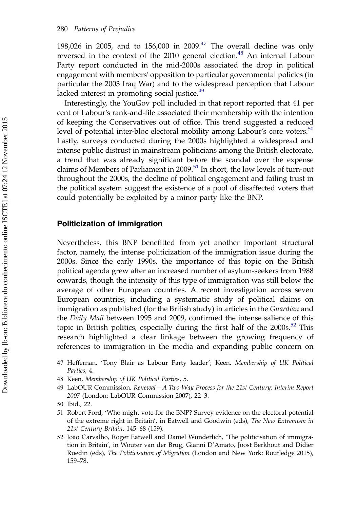198,026 in 2005, and to  $156,000$  in 2009.<sup>47</sup> The overall decline was only reversed in the context of the 2010 general election.<sup>48</sup> An internal Labour Party report conducted in the mid-2000s associated the drop in political engagement with members' opposition to particular governmental policies (in particular the 2003 Iraq War) and to the widespread perception that Labour lacked interest in promoting social justice.<sup>49</sup>

Interestingly, the YouGov poll included in that report reported that 41 per cent of Labour's rank-and-file associated their membership with the intention of keeping the Conservatives out of office. This trend suggested a reduced level of potential inter-bloc electoral mobility among Labour's core voters.<sup>50</sup> Lastly, surveys conducted during the 2000s highlighted a widespread and intense public distrust in mainstream politicians among the British electorate, a trend that was already significant before the scandal over the expense claims of Members of Parliament in 2009.<sup>51</sup> In short, the low levels of turn-out throughout the 2000s, the decline of political engagement and failing trust in the political system suggest the existence of a pool of disaffected voters that could potentially be exploited by a minor party like the BNP.

#### Politicization of immigration

Nevertheless, this BNP benefitted from yet another important structural factor, namely, the intense politicization of the immigration issue during the 2000s. Since the early 1990s, the importance of this topic on the British political agenda grew after an increased number of asylum-seekers from 1988 onwards, though the intensity of this type of immigration was still below the average of other European countries. A recent investigation across seven European countries, including a systematic study of political claims on immigration as published (for the British study) in articles in the Guardian and the Daily Mail between 1995 and 2009, confirmed the intense salience of this topic in British politics, especially during the first half of the  $2000s$ .<sup>52</sup> This research highlighted a clear linkage between the growing frequency of references to immigration in the media and expanding public concern on

- 47 Heffernan, 'Tony Blair as Labour Party leader'; Keen, Membership of UK Political Parties, 4.
- 48 Keen, Membership of UK Political Parties, 5.
- 49 LabOUR Commission, Renewal—A Two-Way Process for the 21st Century: Interim Report 2007 (London: LabOUR Commission 2007), 22–3.
- 50 Ibid., 22.
- 51 Robert Ford, 'Who might vote for the BNP? Survey evidence on the electoral potential of the extreme right in Britain', in Eatwell and Goodwin (eds), The New Extremism in 21st Century Britain, 145–68 (159).
- 52 João Carvalho, Roger Eatwell and Daniel Wunderlich, 'The politicisation of immigration in Britain', in Wouter van der Brug, Gianni D'Amato, Joost Berkhout and Didier Ruedin (eds), The Politicisation of Migration (London and New York: Routledge 2015), 159–78.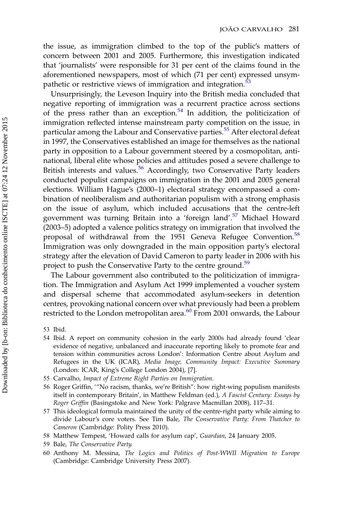the issue, as immigration climbed to the top of the public's matters of concern between 2001 and 2005. Furthermore, this investigation indicated that 'journalists' were responsible for 31 per cent of the claims found in the aforementioned newspapers, most of which (71 per cent) expressed unsympathetic or restrictive views of immigration and integration.<sup>53</sup>

Unsurprisingly, the Leveson Inquiry into the British media concluded that negative reporting of immigration was a recurrent practice across sections of the press rather than an exception.<sup>54</sup> In addition, the politicization of immigration reflected intense mainstream party competition on the issue, in particular among the Labour and Conservative parties.<sup>55</sup> After electoral defeat in 1997, the Conservatives established an image for themselves as the national party in opposition to a Labour government steered by a cosmopolitan, antinational, liberal elite whose policies and attitudes posed a severe challenge to British interests and values.<sup>56</sup> Accordingly, two Conservative Party leaders conducted populist campaigns on immigration in the 2001 and 2005 general elections. William Hague's (2000–1) electoral strategy encompassed a combination of neoliberalism and authoritarian populism with a strong emphasis on the issue of asylum, which included accusations that the centre-left government was turning Britain into a 'foreign land'. <sup>57</sup> Michael Howard (2003–5) adopted a valence politics strategy on immigration that involved the proposal of withdrawal from the 1951 Geneva Refugee Convention.<sup>58</sup> Immigration was only downgraded in the main opposition party's electoral strategy after the elevation of David Cameron to party leader in 2006 with his project to push the Conservative Party to the centre ground.<sup>59</sup>

The Labour government also contributed to the politicization of immigration. The Immigration and Asylum Act 1999 implemented a voucher system and dispersal scheme that accommodated asylum-seekers in detention centres, provoking national concern over what previously had been a problem restricted to the London metropolitan area.<sup>60</sup> From 2001 onwards, the Labour

53 Ibid.

- 54 Ibid. A report on community cohesion in the early 2000s had already found 'clear evidence of negative, unbalanced and inaccurate reporting likely to promote fear and tension within communities across London': Information Centre about Asylum and Refugees in the UK (ICAR), Media Image, Community Impact: Executive Summary (London: ICAR, King's College London 2004), [7].
- 55 Carvalho, Impact of Extreme Right Parties on Immigration.
- 56 Roger Griffin, '"No racism, thanks, we're British": how right-wing populism manifests itself in contemporary Britain', in Matthew Feldman (ed.), A Fascist Century: Essays by Roger Griffin (Basingstoke and New York: Palgrave Macmillan 2008), 117–31.
- 57 This ideological formula maintained the unity of the centre-right party while aiming to divide Labour's core voters. See Tim Bale, The Conservative Party: From Thatcher to Cameron (Cambridge: Polity Press 2010).
- 58 Matthew Tempest, 'Howard calls for asylum cap', Guardian, 24 January 2005.
- 59 Bale, The Conservative Party.
- 60 Anthony M. Messina, The Logics and Politics of Post-WWII Migration to Europe (Cambridge: Cambridge University Press 2007).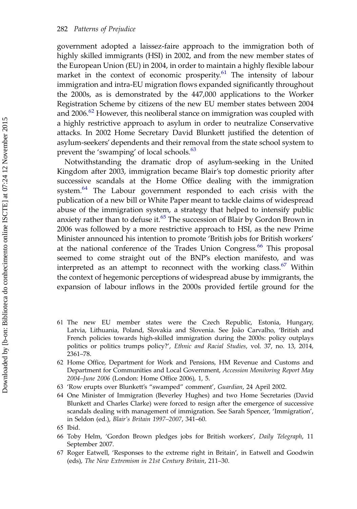government adopted a laissez-faire approach to the immigration both of highly skilled immigrants (HSI) in 2002, and from the new member states of the European Union (EU) in 2004, in order to maintain a highly flexible labour market in the context of economic prosperity.<sup>61</sup> The intensity of labour immigration and intra-EU migration flows expanded significantly throughout the 2000s, as is demonstrated by the 447,000 applications to the Worker Registration Scheme by citizens of the new EU member states between 2004 and 2006.<sup>62</sup> However, this neoliberal stance on immigration was coupled with a highly restrictive approach to asylum in order to neutralize Conservative attacks. In 2002 Home Secretary David Blunkett justified the detention of asylum-seekers'dependents and their removal from the state school system to prevent the 'swamping' of local schools.<sup>63</sup>

Notwithstanding the dramatic drop of asylum-seeking in the United Kingdom after 2003, immigration became Blair's top domestic priority after successive scandals at the Home Office dealing with the immigration system.<sup>64</sup> The Labour government responded to each crisis with the publication of a new bill or White Paper meant to tackle claims of widespread abuse of the immigration system, a strategy that helped to intensify public anxiety rather than to defuse it. $65$  The succession of Blair by Gordon Brown in 2006 was followed by a more restrictive approach to HSI, as the new Prime Minister announced his intention to promote 'British jobs for British workers' at the national conference of the Trades Union Congress.<sup>66</sup> This proposal seemed to come straight out of the BNP's election manifesto, and was interpreted as an attempt to reconnect with the working class.<sup>67</sup> Within the context of hegemonic perceptions of widespread abuse by immigrants, the expansion of labour inflows in the 2000s provided fertile ground for the

- 61 The new EU member states were the Czech Republic, Estonia, Hungary, Latvia, Lithuania, Poland, Slovakia and Slovenia. See João Carvalho, 'British and French policies towards high-skilled immigration during the 2000s: policy outplays politics or politics trumps policy?', Ethnic and Racial Studies, vol. 37, no. 13, 2014, 2361–78.
- 62 Home Office, Department for Work and Pensions, HM Revenue and Customs and Department for Communities and Local Government, Accession Monitoring Report May 2004–June 2006 (London: Home Office 2006), 1, 5.
- 63 'Row erupts over Blunkett's "swamped" comment', Guardian, 24 April 2002.
- 64 One Minister of Immigration (Beverley Hughes) and two Home Secretaries (David Blunkett and Charles Clarke) were forced to resign after the emergence of successive scandals dealing with management of immigration. See Sarah Spencer, 'Immigration', in Seldon (ed.), Blair's Britain 1997–2007, 341–60.

- 66 Toby Helm, 'Gordon Brown pledges jobs for British workers', Daily Telegraph, 11 September 2007.
- 67 Roger Eatwell, 'Responses to the extreme right in Britain', in Eatwell and Goodwin (eds), The New Extremism in 21st Century Britain, 211–30.

<sup>65</sup> Ibid.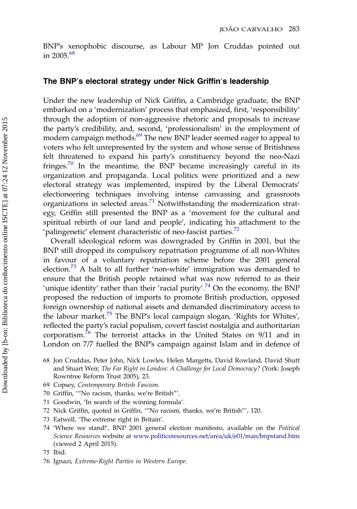BNP's xenophobic discourse, as Labour MP Jon Cruddas pointed out in 2005.<sup>68</sup>

#### The BNP's electoral strategy under Nick Griffin's leadership

Under the new leadership of Nick Griffin, a Cambridge graduate, the BNP embarked on a 'modernization' process that emphasized, first, 'responsibility' through the adoption of non-aggressive rhetoric and proposals to increase the party's credibility, and, second, 'professionalism' in the employment of modern campaign methods.<sup>69</sup> The new BNP leader seemed eager to appeal to voters who felt unrepresented by the system and whose sense of Britishness felt threatened to expand his party's constituency beyond the neo-Nazi fringes.<sup>70</sup> In the meantime, the BNP became increasingly careful in its organization and propaganda. Local politics were prioritized and a new electoral strategy was implemented, inspired by the Liberal Democrats' electioneering techniques involving intense canvassing and grassroots organizations in selected areas.<sup>71</sup> Notwithstanding the modernization strategy, Griffin still presented the BNP as a 'movement for the cultural and spiritual rebirth of our land and people', indicating his attachment to the 'palingenetic' element characteristic of neo-fascist parties.<sup>72</sup>

Overall ideological reform was downgraded by Griffin in 2001, but the BNP still dropped its compulsory repatriation programme of all non-Whites in favour of a voluntary repatriation scheme before the 2001 general election.<sup>73</sup> A halt to all further 'non-white' immigration was demanded to ensure that the British people retained what was now referred to as their 'unique identity' rather than their 'racial purity'.<sup>74</sup> On the economy, the BNP proposed the reduction of imports to promote British production, opposed foreign ownership of national assets and demanded discriminatory access to the labour market.<sup>75</sup> The BNP's local campaign slogan, 'Rights for Whites', reflected the party's racial populism, covert fascist nostalgia and authoritarian corporatism.<sup>76</sup> The terrorist attacks in the United States on  $9/11$  and in London on 7/7 fuelled the BNP's campaign against Islam and in defence of

- 68 Jon Cruddas, Peter John, Nick Lowles, Helen Margetts, David Rowland, David Shutt and Stuart Weir, The Far Right in London: A Challenge for Local Democracy? (York: Joseph Rowntree Reform Trust 2005), 23.
- 69 Copsey, Contemporary British Fascism.
- 70 Griffin, '"No racism, thanks, we're British"'.
- 71 Goodwin, 'In search of the winning formula'.
- 72 Nick Griffin, quoted in Griffin, '"No racism, thanks, we're British"', 120.
- 73 Eatwell, 'The extreme right in Britain'.
- 74 'Where we stand!', BNP 2001 general election manifesto, available on the Political Science Resources website at [www.politicsresources.net/area/uk/e01/man/bnpstand.htm](http://www.politicsresources.net/area/uk/e01/man/bnpstand.htm) (viewed 2 April 2015).
- 75 Ibid.
- 76 Ignazi, Extreme-Right Parties in Western Europe.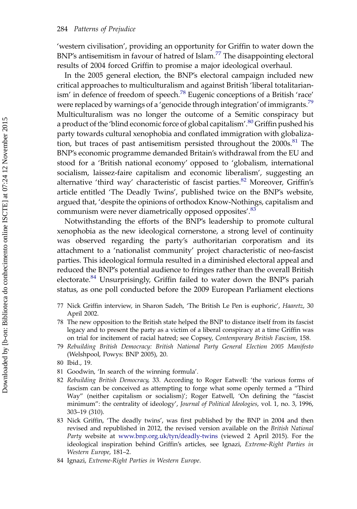'western civilisation', providing an opportunity for Griffin to water down the BNP's antisemitism in favour of hatred of Islam.<sup>77</sup> The disappointing electoral results of 2004 forced Griffin to promise a major ideological overhaul.

In the 2005 general election, the BNP's electoral campaign included new critical approaches to multiculturalism and against British 'liberal totalitarianism' in defence of freedom of speech.<sup>78</sup> Eugenic conceptions of a British 'race' were replaced by warnings of a 'genocide through integration' of immigrants.<sup>79</sup> Multiculturalism was no longer the outcome of a Semitic conspiracy but a product of the 'blind economic force of global capitalism'.<sup>80</sup> Griffin pushed his party towards cultural xenophobia and conflated immigration with globalization, but traces of past antisemitism persisted throughout the 2000s.<sup>81</sup> The BNP's economic programme demanded Britain's withdrawal from the EU and stood for a 'British national economy' opposed to 'globalism, international socialism, laissez-faire capitalism and economic liberalism', suggesting an alternative 'third way' characteristic of fascist parties. $82$  Moreover, Griffin's article entitled 'The Deadly Twins', published twice on the BNP's website, argued that, 'despite the opinions of orthodox Know-Nothings, capitalism and communism were never diametrically opposed opposites'.<sup>83</sup>

Notwithstanding the efforts of the BNP's leadership to promote cultural xenophobia as the new ideological cornerstone, a strong level of continuity was observed regarding the party's authoritarian corporatism and its attachment to a 'nationalist community' project characteristic of neo-fascist parties. This ideological formula resulted in a diminished electoral appeal and reduced the BNP's potential audience to fringes rather than the overall British electorate.<sup>84</sup> Unsurprisingly, Griffin failed to water down the BNP's pariah status, as one poll conducted before the 2009 European Parliament elections

- 77 Nick Griffin interview, in Sharon Sadeh, 'The British Le Pen is euphoric', Haaretz, 30 April 2002.
- 78 The new opposition to the British state helped the BNP to distance itself from its fascist legacy and to present the party as a victim of a liberal conspiracy at a time Griffin was on trial for incitement of racial hatred; see Copsey, Contemporary British Fascism, 158.
- 79 Rebuilding British Democracy: British National Party General Election 2005 Manifesto (Welshpool, Powys: BNP 2005), 20.

- 81 Goodwin, 'In search of the winning formula'.
- 82 Rebuilding British Democracy, 33. According to Roger Eatwell: 'the various forms of fascism can be conceived as attempting to forge what some openly termed a "Third Way" (neither capitalism or socialism)'; Roger Eatwell, 'On defining the "fascist minimum": the centrality of ideology', Journal of Political Ideologies, vol. 1, no. 3, 1996, 303–19 (310).
- 83 Nick Griffin, 'The deadly twins', was first published by the BNP in 2004 and then revised and republished in 2012, the revised version available on the British National Party website at [www.bnp.org.uk/tyn/deadly-twins](http://www.bnp.org.uk/tyn/deadly-twins) (viewed 2 April 2015). For the ideological inspiration behind Griffin's articles, see Ignazi, Extreme-Right Parties in Western Europe, 181–2.
- 84 Ignazi, Extreme-Right Parties in Western Europe.

<sup>80</sup> Ibid., 19.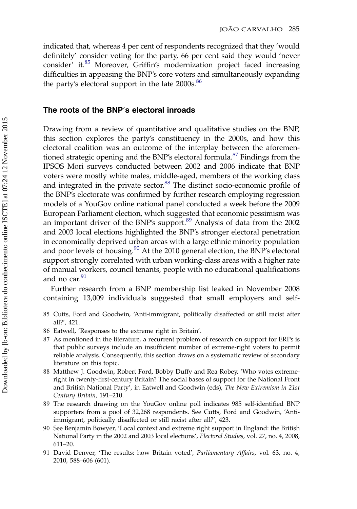indicated that, whereas 4 per cent of respondents recognized that they 'would definitely' consider voting for the party, 66 per cent said they would 'never consider' it.<sup>85</sup> Moreover, Griffin's modernization project faced increasing difficulties in appeasing the BNP's core voters and simultaneously expanding the party's electoral support in the late 2000s.<sup>86</sup>

#### The roots of the BNP's electoral inroads

Drawing from a review of quantitative and qualitative studies on the BNP, this section explores the party's constituency in the 2000s, and how this electoral coalition was an outcome of the interplay between the aforementioned strategic opening and the BNP's electoral formula.<sup>87</sup> Findings from the IPSOS Mori surveys conducted between 2002 and 2006 indicate that BNP voters were mostly white males, middle-aged, members of the working class and integrated in the private sector.<sup>88</sup> The distinct socio-economic profile of the BNP's electorate was confirmed by further research employing regression models of a YouGov online national panel conducted a week before the 2009 European Parliament election, which suggested that economic pessimism was an important driver of the BNP's support.<sup>89</sup> Analysis of data from the 2002 and 2003 local elections highlighted the BNP's stronger electoral penetration in economically deprived urban areas with a large ethnic minority population and poor levels of housing.<sup>90</sup> At the 2010 general election, the BNP's electoral support strongly correlated with urban working-class areas with a higher rate of manual workers, council tenants, people with no educational qualifications and no car.<sup>91</sup>

Further research from a BNP membership list leaked in November 2008 containing 13,009 individuals suggested that small employers and self-

- 85 Cutts, Ford and Goodwin, 'Anti-immigrant, politically disaffected or still racist after all?', 421.
- 86 Eatwell, 'Responses to the extreme right in Britain'.
- 87 As mentioned in the literature, a recurrent problem of research on support for ERPs is that public surveys include an insufficient number of extreme-right voters to permit reliable analysis. Consequently, this section draws on a systematic review of secondary literature on this topic.
- 88 Matthew J. Goodwin, Robert Ford, Bobby Duffy and Rea Robey, 'Who votes extremeright in twenty-first-century Britain? The social bases of support for the National Front and British National Party', in Eatwell and Goodwin (eds), The New Extremism in 21st Century Britain, 191–210.
- 89 The research drawing on the YouGov online poll indicates 985 self-identified BNP supporters from a pool of 32,268 respondents. See Cutts, Ford and Goodwin, 'Antiimmigrant, politically disaffected or still racist after all?', 423.
- 90 See Benjamin Bowyer, 'Local context and extreme right support in England: the British National Party in the 2002 and 2003 local elections', Electoral Studies, vol. 27, no. 4, 2008, 611–20.
- 91 David Denver, 'The results: how Britain voted', Parliamentary Affairs, vol. 63, no. 4, 2010, 588–606 (601).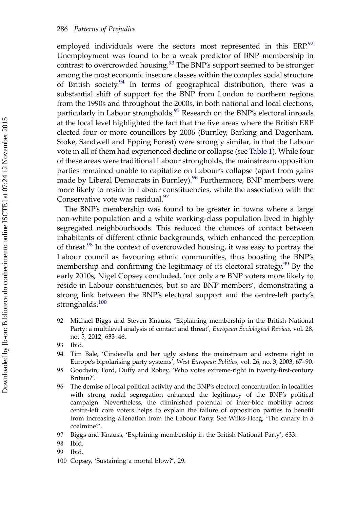employed individuals were the sectors most represented in this ERP.92 Unemployment was found to be a weak predictor of BNP membership in contrast to overcrowded housing.<sup>93</sup> The BNP's support seemed to be stronger among the most economic insecure classes within the complex social structure of British society.<sup>94</sup> In terms of geographical distribution, there was a substantial shift of support for the BNP from London to northern regions from the 1990s and throughout the 2000s, in both national and local elections, particularly in Labour strongholds.<sup>95</sup> Research on the BNP's electoral inroads at the local level highlighted the fact that the five areas where the British ERP elected four or more councillors by 2006 (Burnley, Barking and Dagenham, Stoke, Sandwell and Epping Forest) were strongly similar, in that the Labour vote in all of them had experienced decline or collapse (see [Table 1](#page-17-0)). While four of these areas were traditional Labour strongholds, the mainstream opposition parties remained unable to capitalize on Labour's collapse (apart from gains made by Liberal Democrats in Burnley).<sup>96</sup> Furthermore, BNP members were more likely to reside in Labour constituencies, while the association with the Conservative vote was residual.<sup>97</sup>

The BNP's membership was found to be greater in towns where a large non-white population and a white working-class population lived in highly segregated neighbourhoods. This reduced the chances of contact between inhabitants of different ethnic backgrounds, which enhanced the perception of threat.<sup>98</sup> In the context of overcrowded housing, it was easy to portray the Labour council as favouring ethnic communities, thus boosting the BNP's membership and confirming the legitimacy of its electoral strategy.<sup>99</sup> By the early 2010s, Nigel Copsey concluded, 'not only are BNP voters more likely to reside in Labour constituencies, but so are BNP members', demonstrating a strong link between the BNP's electoral support and the centre-left party's strongholds.<sup>100</sup>

92 Michael Biggs and Steven Knauss, 'Explaining membership in the British National Party: a multilevel analysis of contact and threat', European Sociological Review, vol. 28, no. 5, 2012, 633–46.

- 94 Tim Bale, 'Cinderella and her ugly sisters: the mainstream and extreme right in Europe's bipolarising party systems', West European Politics, vol. 26, no. 3, 2003, 67–90.
- 95 Goodwin, Ford, Duffy and Robey, 'Who votes extreme-right in twenty-first-century Britain?'.
- 96 The demise of local political activity and the BNP's electoral concentration in localities with strong racial segregation enhanced the legitimacy of the BNP's political campaign. Nevertheless, the diminished potential of inter-bloc mobility across centre-left core voters helps to explain the failure of opposition parties to benefit from increasing alienation from the Labour Party. See Wilks-Heeg, 'The canary in a coalmine?'.
- 97 Biggs and Knauss, 'Explaining membership in the British National Party', 633.

- 99 Ibid.
- 100 Copsey, 'Sustaining a mortal blow?', 29.

<sup>93</sup> Ibid.

<sup>98</sup> Ibid.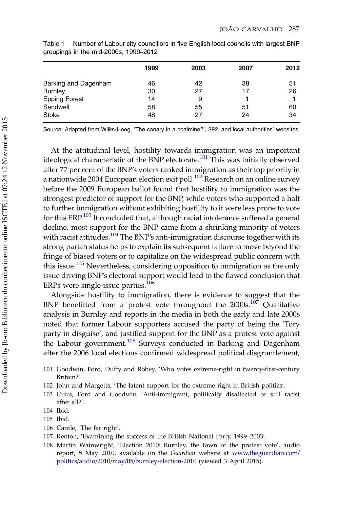|                      | 1999 | 2003 | 2007 | 2012 |
|----------------------|------|------|------|------|
| Barking and Dagenham | 46   | 42   | 38   | 51   |
| <b>Burnley</b>       | 30   | 27   | 17   | 26   |
| <b>Epping Forest</b> | 14   | 9    |      |      |
| Sandwell             | 58   | 55   | 51   | 60   |
| <b>Stoke</b>         | 48   | 27   | 24   | 34   |

<span id="page-17-0"></span>Table 1 Number of Labour city councillors in five English local councils with largest BNP groupings in the mid-2000s, 1999–2012

Source: Adapted from Wilks-Heeg, 'The canary in a coalmine?', 392, and local authorities' websites.

At the attitudinal level, hostility towards immigration was an important ideological characteristic of the BNP electorate.<sup>101</sup> This was initially observed after 77 per cent of the BNP's voters ranked immigration as their top priority in a nationwide 2004 European election exit poll.<sup>102</sup> Research on an online survey before the 2009 European ballot found that hostility to immigration was the strongest predictor of support for the BNP, while voters who supported a halt to further immigration without exhibiting hostility to it were less prone to vote for this ERP.<sup>103</sup> It concluded that, although racial intolerance suffered a general decline, most support for the BNP came from a shrinking minority of voters with racist attitudes.<sup>104</sup> The BNP's anti-immigration discourse together with its strong pariah status helps to explain its subsequent failure to move beyond the fringe of biased voters or to capitalize on the widespread public concern with this issue.<sup>105</sup> Nevertheless, considering opposition to immigration as the only issue driving BNP's electoral support would lead to the flawed conclusion that ERPs were single-issue parties.<sup>106</sup>

Alongside hostility to immigration, there is evidence to suggest that the BNP benefitted from a protest vote throughout the  $2000s$ .<sup>107</sup> Qualitative analysis in Burnley and reports in the media in both the early and late 2000s noted that former Labour supporters accused the party of being the 'Tory party in disguise', and justified support for the BNP as a protest vote against the Labour government.<sup>108</sup> Surveys conducted in Barking and Dagenham after the 2006 local elections confirmed widespread political disgruntlement,

- 101 Goodwin, Ford, Duffy and Robey, 'Who votes extreme-right in twenty-first-century Britain?'.
- 102 John and Margetts, 'The latent support for the extreme right in British politics'.
- 103 Cutts, Ford and Goodwin, 'Anti-immigrant, politically disaffected or still racist after all?'.
- 104 Ibid.

- 106 Cantle, 'The far right'.
- 107 Renton, 'Examining the success of the British National Party, 1999–2003'.
- 108 Martin Wainwright, 'Election 2010: Burnley, the town of the protest vote', audio report, 5 May 2010, available on the Guardian website at [www.theguardian.com/](http://www.theguardian.com/politics/audio/2010/may/05/burnley-election-2010) [politics/audio/2010/may/05/burnley-election-2010](http://www.theguardian.com/politics/audio/2010/may/05/burnley-election-2010) (viewed 3 April 2015).

<sup>105</sup> Ibid.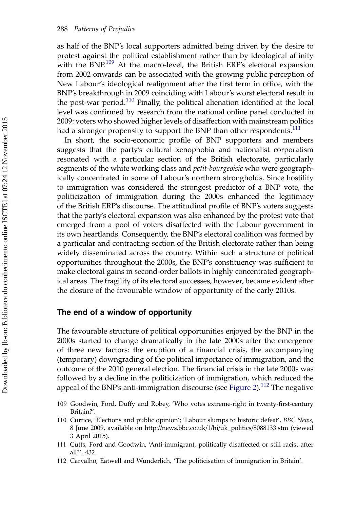as half of the BNP's local supporters admitted being driven by the desire to protest against the political establishment rather than by ideological affinity with the BNP.<sup>109</sup> At the macro-level, the British ERP's electoral expansion from 2002 onwards can be associated with the growing public perception of New Labour's ideological realignment after the first term in office, with the BNP's breakthrough in 2009 coinciding with Labour's worst electoral result in the post-war period.<sup>110</sup> Finally, the political alienation identified at the local level was confirmed by research from the national online panel conducted in 2009: voters who showed higher levels of disaffection with mainstream politics had a stronger propensity to support the BNP than other respondents.<sup>111</sup>

In short, the socio-economic profile of BNP supporters and members suggests that the party's cultural xenophobia and nationalist corporatism resonated with a particular section of the British electorate, particularly segments of the white working class and *petit-bourgeoisie* who were geographically concentrated in some of Labour's northern strongholds. Since hostility to immigration was considered the strongest predictor of a BNP vote, the politicization of immigration during the 2000s enhanced the legitimacy of the British ERP's discourse. The attitudinal profile of BNP's voters suggests that the party's electoral expansion was also enhanced by the protest vote that emerged from a pool of voters disaffected with the Labour government in its own heartlands. Consequently, the BNP's electoral coalition was formed by a particular and contracting section of the British electorate rather than being widely disseminated across the country. Within such a structure of political opportunities throughout the 2000s, the BNP's constituency was sufficient to make electoral gains in second-order ballots in highly concentrated geographical areas. The fragility of its electoral successes, however, became evident after the closure of the favourable window of opportunity of the early 2010s.

#### The end of a window of opportunity

The favourable structure of political opportunities enjoyed by the BNP in the 2000s started to change dramatically in the late 2000s after the emergence of three new factors: the eruption of a financial crisis, the accompanying (temporary) downgrading of the political importance of immigration, and the outcome of the 2010 general election. The financial crisis in the late 2000s was followed by a decline in the politicization of immigration, which reduced the appeal of the BNP's anti-immigration discourse (see [Figure 2](#page-19-0)).<sup>112</sup> The negative

- 109 Goodwin, Ford, Duffy and Robey, 'Who votes extreme-right in twenty-first-century Britain?'.
- 110 Curtice, 'Elections and public opinion'; 'Labour slumps to historic defeat', BBC News, 8 June 2009, available on http://news.bbc.co.uk/1/hi/uk\_politics/8088133.stm (viewed 3 April 2015).
- 111 Cutts, Ford and Goodwin, 'Anti-immigrant, politically disaffected or still racist after all?', 432.
- 112 Carvalho, Eatwell and Wunderlich, 'The politicisation of immigration in Britain'.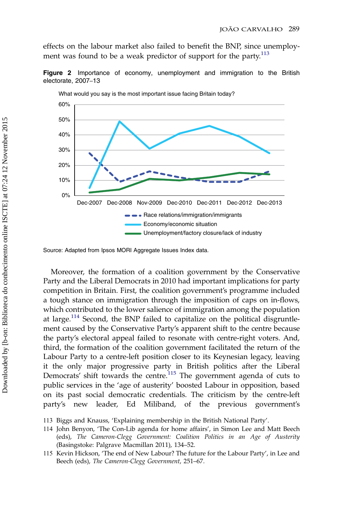<span id="page-19-0"></span>effects on the labour market also failed to benefit the BNP, since unemployment was found to be a weak predictor of support for the party.<sup>113</sup>

Figure 2 Importance of economy, unemployment and immigration to the British electorate, 2007–13



What would you say is the most important issue facing Britain today?

Moreover, the formation of a coalition government by the Conservative Party and the Liberal Democrats in 2010 had important implications for party competition in Britain. First, the coalition government's programme included a tough stance on immigration through the imposition of caps on in-flows, which contributed to the lower salience of immigration among the population at large.<sup>114</sup> Second, the BNP failed to capitalize on the political disgruntlement caused by the Conservative Party's apparent shift to the centre because the party's electoral appeal failed to resonate with centre-right voters. And, third, the formation of the coalition government facilitated the return of the Labour Party to a centre-left position closer to its Keynesian legacy, leaving it the only major progressive party in British politics after the Liberal Democrats' shift towards the centre.<sup>115</sup> The government agenda of cuts to public services in the 'age of austerity' boosted Labour in opposition, based on its past social democratic credentials. The criticism by the centre-left party's new leader, Ed Miliband, of the previous government's

Source: Adapted from Ipsos MORI Aggregate Issues Index data.

<sup>113</sup> Biggs and Knauss, 'Explaining membership in the British National Party'.

<sup>114</sup> John Benyon, 'The Con-Lib agenda for home affairs', in Simon Lee and Matt Beech (eds), The Cameron-Clegg Government: Coalition Politics in an Age of Austerity (Basingstoke: Palgrave Macmillan 2011), 134–52.

<sup>115</sup> Kevin Hickson, 'The end of New Labour? The future for the Labour Party', in Lee and Beech (eds), The Cameron-Clegg Government, 251–67.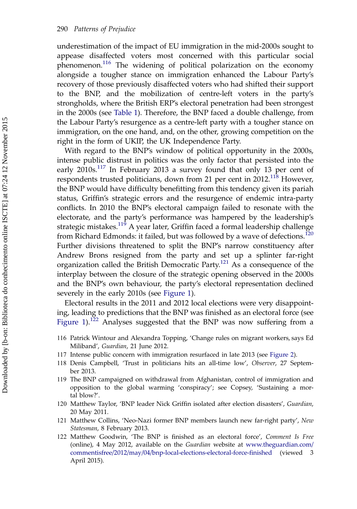underestimation of the impact of EU immigration in the mid-2000s sought to appease disaffected voters most concerned with this particular social phenomenon.<sup>116</sup> The widening of political polarization on the economy alongside a tougher stance on immigration enhanced the Labour Party's recovery of those previously disaffected voters who had shifted their support to the BNP, and the mobilization of centre-left voters in the party's strongholds, where the British ERP's electoral penetration had been strongest in the 2000s (see [Table 1](#page-17-0)). Therefore, the BNP faced a double challenge, from the Labour Party's resurgence as a centre-left party with a tougher stance on immigration, on the one hand, and, on the other, growing competition on the right in the form of UKIP, the UK Independence Party.

With regard to the BNP's window of political opportunity in the 2000s, intense public distrust in politics was the only factor that persisted into the early 2010s.<sup>117</sup> In February 2013 a survey found that only 13 per cent of respondents trusted politicians, down from 21 per cent in 2012.<sup>118</sup> However, the BNP would have difficulty benefitting from this tendency given its pariah status, Griffin's strategic errors and the resurgence of endemic intra-party conflicts. In 2010 the BNP's electoral campaign failed to resonate with the electorate, and the party's performance was hampered by the leadership's strategic mistakes. $119$  A year later, Griffin faced a formal leadership challenge from Richard Edmonds: it failed, but was followed by a wave of defections.<sup>120</sup> Further divisions threatened to split the BNP's narrow constituency after Andrew Brons resigned from the party and set up a splinter far-right organization called the British Democratic Party.<sup>121</sup> As a consequence of the interplay between the closure of the strategic opening observed in the 2000s and the BNP's own behaviour, the party's electoral representation declined severely in the early 2010s (see [Figure 1](#page-3-0)).

Electoral results in the 2011 and 2012 local elections were very disappointing, leading to predictions that the BNP was finished as an electoral force (see Figure  $1$ ).<sup>122</sup> Analyses suggested that the BNP was now suffering from a

- 116 Patrick Wintour and Alexandra Topping, 'Change rules on migrant workers, says Ed Miliband', Guardian, 21 June 2012.
- 117 Intense public concern with immigration resurfaced in late 2013 (see [Figure 2](#page-19-0)).
- 118 Denis Campbell, 'Trust in politicians hits an all-time low', Observer, 27 September 2013.
- 119 The BNP campaigned on withdrawal from Afghanistan, control of immigration and opposition to the global warming 'conspiracy'; see Copsey, 'Sustaining a mortal blow?'.
- 120 Matthew Taylor, 'BNP leader Nick Griffin isolated after election disasters', Guardian, 20 May 2011.
- 121 Matthew Collins, 'Neo-Nazi former BNP members launch new far-right party', New Statesman, 8 February 2013.
- 122 Matthew Goodwin, 'The BNP is finished as an electoral force', Comment Is Free (online), 4 May 2012, available on the Guardian website at [www.theguardian.com/](http://www.theguardian.com/commentisfree/2012/may/04/bnp-local-elections-electoral-force-finished) [commentisfree/2012/may/04/bnp-local-elections-electoral-force-finished](http://www.theguardian.com/commentisfree/2012/may/04/bnp-local-elections-electoral-force-finished) (viewed 3 April 2015).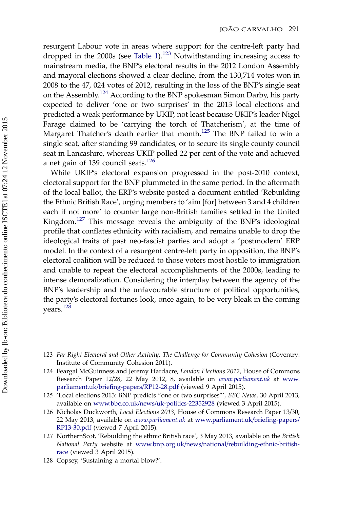resurgent Labour vote in areas where support for the centre-left party had dropped in the 2000s (see [Table 1\)](#page-17-0).<sup>123</sup> Notwithstanding increasing access to mainstream media, the BNP's electoral results in the 2012 London Assembly and mayoral elections showed a clear decline, from the 130,714 votes won in 2008 to the 47, 024 votes of 2012, resulting in the loss of the BNP's single seat on the Assembly.<sup>124</sup> According to the BNP spokesman Simon Darby, his party expected to deliver 'one or two surprises' in the 2013 local elections and predicted a weak performance by UKIP, not least because UKIP's leader Nigel Farage claimed to be 'carrying the torch of Thatcherism', at the time of Margaret Thatcher's death earlier that month.<sup>125</sup> The BNP failed to win a single seat, after standing 99 candidates, or to secure its single county council seat in Lancashire, whereas UKIP polled 22 per cent of the vote and achieved a net gain of 139 council seats.<sup>126</sup>

While UKIP's electoral expansion progressed in the post-2010 context, electoral support for the BNP plummeted in the same period. In the aftermath of the local ballot, the ERP's website posted a document entitled 'Rebuilding the Ethnic British Race', urging members to 'aim [for] between 3 and 4 children each if not more' to counter large non-British families settled in the United Kingdom.<sup>127</sup> This message reveals the ambiguity of the BNP's ideological profile that conflates ethnicity with racialism, and remains unable to drop the ideological traits of past neo-fascist parties and adopt a 'postmodern' ERP model. In the context of a resurgent centre-left party in opposition, the BNP's electoral coalition will be reduced to those voters most hostile to immigration and unable to repeat the electoral accomplishments of the 2000s, leading to intense demoralization. Considering the interplay between the agency of the BNP's leadership and the unfavourable structure of political opportunities, the party's electoral fortunes look, once again, to be very bleak in the coming years.128

<sup>123</sup> Far Right Electoral and Other Activity: The Challenge for Community Cohesion (Coventry: Institute of Community Cohesion 2011).

<sup>124</sup> Feargal McGuinness and Jeremy Hardacre, London Elections 2012, House of Commons Research Paper 12/28, 22 May 2012, 8, available on [www.parliament.uk](http://www.parliament.uk) at [www.](http://www.parliament.uk/briefing-papers/RP12-28.pdf) [parliament.uk/briefing-papers/RP12-28.pdf](http://www.parliament.uk/briefing-papers/RP12-28.pdf) (viewed 9 April 2015).

<sup>125</sup> 'Local elections 2013: BNP predicts "one or two surprises"', BBC News, 30 April 2013, available on [www.bbc.co.uk/news/uk-politics-22352928](http://www.bbc.co.uk/news/uk-politics-22352928) (viewed 3 April 2015).

<sup>126</sup> Nicholas Duckworth, Local Elections 2013, House of Commons Research Paper 13/30, 22 May 2013, available on [www.parliament.uk](http://www.parliament.uk) at [www.parliament.uk/briefing-papers/](http://www.parliament.uk/briefing-papers/RP13-30.pdf) [RP13-30.pdf](http://www.parliament.uk/briefing-papers/RP13-30.pdf) (viewed 7 April 2015).

<sup>127</sup> NorthernScot, 'Rebuilding the ethnic British race', 3 May 2013, available on the British National Party website at [www.bnp.org.uk/news/national/rebuilding-ethnic-british](http://www.bnp.org.uk/news/national/rebuilding-ethnic-british-race)[race](http://www.bnp.org.uk/news/national/rebuilding-ethnic-british-race) (viewed 3 April 2015).

<sup>128</sup> Copsey, 'Sustaining a mortal blow?'.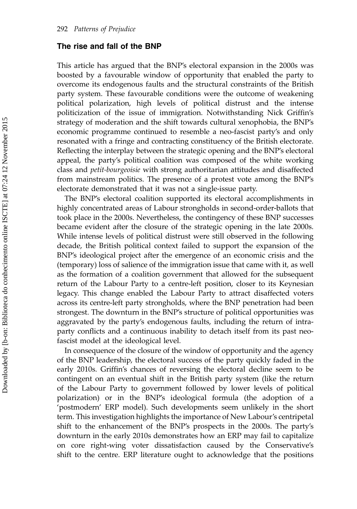#### The rise and fall of the BNP

This article has argued that the BNP's electoral expansion in the 2000s was boosted by a favourable window of opportunity that enabled the party to overcome its endogenous faults and the structural constraints of the British party system. These favourable conditions were the outcome of weakening political polarization, high levels of political distrust and the intense politicization of the issue of immigration. Notwithstanding Nick Griffin's strategy of moderation and the shift towards cultural xenophobia, the BNP's economic programme continued to resemble a neo-fascist party's and only resonated with a fringe and contracting constituency of the British electorate. Reflecting the interplay between the strategic opening and the BNP's electoral appeal, the party's political coalition was composed of the white working class and petit-bourgeoisie with strong authoritarian attitudes and disaffected from mainstream politics. The presence of a protest vote among the BNP's electorate demonstrated that it was not a single-issue party.

The BNP's electoral coalition supported its electoral accomplishments in highly concentrated areas of Labour strongholds in second-order-ballots that took place in the 2000s. Nevertheless, the contingency of these BNP successes became evident after the closure of the strategic opening in the late 2000s. While intense levels of political distrust were still observed in the following decade, the British political context failed to support the expansion of the BNP's ideological project after the emergence of an economic crisis and the (temporary) loss of salience of the immigration issue that came with it, as well as the formation of a coalition government that allowed for the subsequent return of the Labour Party to a centre-left position, closer to its Keynesian legacy. This change enabled the Labour Party to attract disaffected voters across its centre-left party strongholds, where the BNP penetration had been strongest. The downturn in the BNP's structure of political opportunities was aggravated by the party's endogenous faults, including the return of intraparty conflicts and a continuous inability to detach itself from its past neofascist model at the ideological level.

In consequence of the closure of the window of opportunity and the agency of the BNP leadership, the electoral success of the party quickly faded in the early 2010s. Griffin's chances of reversing the electoral decline seem to be contingent on an eventual shift in the British party system (like the return of the Labour Party to government followed by lower levels of political polarization) or in the BNP's ideological formula (the adoption of a 'postmodern' ERP model). Such developments seem unlikely in the short term. This investigation highlights the importance of New Labour's centripetal shift to the enhancement of the BNP's prospects in the 2000s. The party's downturn in the early 2010s demonstrates how an ERP may fail to capitalize on core right-wing voter dissatisfaction caused by the Conservative's shift to the centre. ERP literature ought to acknowledge that the positions